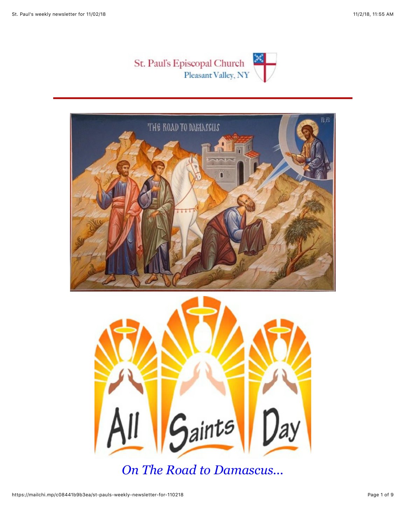



*On The Road to Damascus...*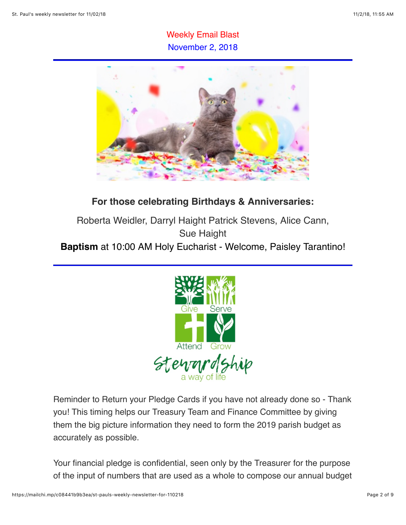## Weekly Email Blast November 2, 2018



## **For those celebrating Birthdays & Anniversaries:**

Roberta Weidler, Darryl Haight Patrick Stevens, Alice Cann, Sue Haight **Baptism** at 10:00 AM Holy Eucharist - Welcome, Paisley Tarantino!



Reminder to Return your Pledge Cards if you have not already done so - Thank you! This timing helps our Treasury Team and Finance Committee by giving them the big picture information they need to form the 2019 parish budget as accurately as possible.

Your financial pledge is confidential, seen only by the Treasurer for the purpose of the input of numbers that are used as a whole to compose our annual budget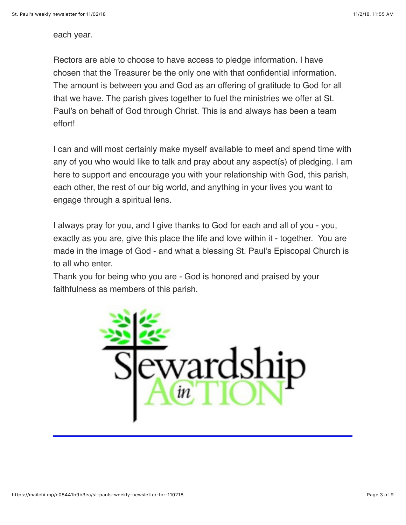each year.

Rectors are able to choose to have access to pledge information. I have chosen that the Treasurer be the only one with that confidential information. The amount is between you and God as an offering of gratitude to God for all that we have. The parish gives together to fuel the ministries we offer at St. Paul's on behalf of God through Christ. This is and always has been a team effort!

I can and will most certainly make myself available to meet and spend time with any of you who would like to talk and pray about any aspect(s) of pledging. I am here to support and encourage you with your relationship with God, this parish, each other, the rest of our big world, and anything in your lives you want to engage through a spiritual lens.

I always pray for you, and I give thanks to God for each and all of you - you, exactly as you are, give this place the life and love within it - together. You are made in the image of God - and what a blessing St. Paul's Episcopal Church is to all who enter.

Thank you for being who you are - God is honored and praised by your faithfulness as members of this parish.

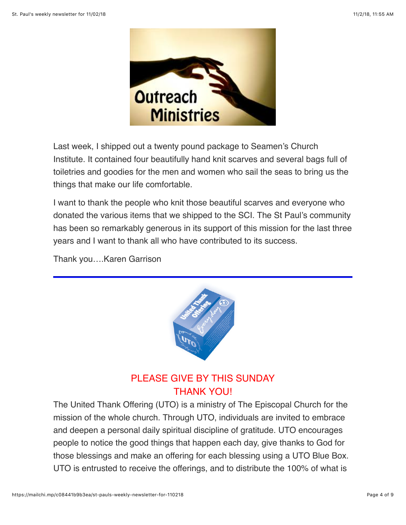

Last week, I shipped out a twenty pound package to Seamen's Church Institute. It contained four beautifully hand knit scarves and several bags full of toiletries and goodies for the men and women who sail the seas to bring us the things that make our life comfortable.

I want to thank the people who knit those beautiful scarves and everyone who donated the various items that we shipped to the SCI. The St Paul's community has been so remarkably generous in its support of this mission for the last three years and I want to thank all who have contributed to its success.

Thank you….Karen Garrison



## PLEASE GIVE BY THIS SUNDAY THANK YOU!

The United Thank Offering (UTO) is a ministry of The Episcopal Church for the mission of the whole church. Through UTO, individuals are invited to embrace and deepen a personal daily spiritual discipline of gratitude. UTO encourages people to notice the good things that happen each day, give thanks to God for those blessings and make an offering for each blessing using a UTO Blue Box. UTO is entrusted to receive the offerings, and to distribute the 100% of what is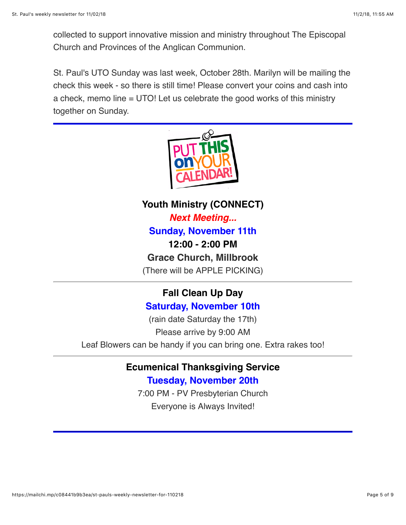collected to support innovative mission and ministry throughout The Episcopal Church and Provinces of the Anglican Communion.

St. Paul's UTO Sunday was last week, October 28th. Marilyn will be mailing the check this week - so there is still time! Please convert your coins and cash into a check, memo line = UTO! Let us celebrate the good works of this ministry together on Sunday.



**Youth Ministry (CONNECT)** *Next Meeting...* **Sunday, November 11th 12:00 - 2:00 PM Grace Church, Millbrook** (There will be APPLE PICKING)

## **Fall Clean Up Day Saturday, November 10th**

(rain date Saturday the 17th) Please arrive by 9:00 AM Leaf Blowers can be handy if you can bring one. Extra rakes too!

# **Ecumenical Thanksgiving Service**

**Tuesday, November 20th**

7:00 PM - PV Presbyterian Church Everyone is Always Invited!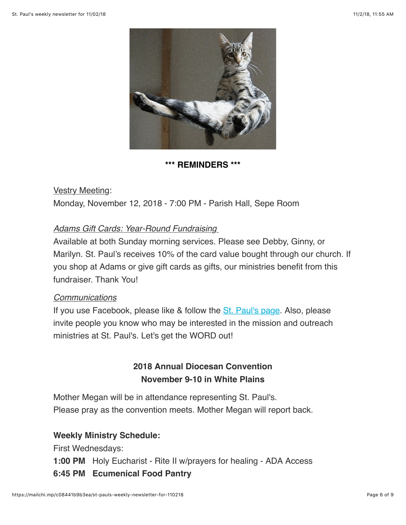

### **\*\*\* REMINDERS \*\*\***

Vestry Meeting: Monday, November 12, 2018 - 7:00 PM - Parish Hall, Sepe Room

## *Adams Gift Cards: Year-Round Fundraising*

Available at both Sunday morning services. Please see Debby, Ginny, or Marilyn. St. Paul's receives 10% of the card value bought through our church. If you shop at Adams or give gift cards as gifts, our ministries benefit from this fundraiser. Thank You!

### *Communications*

If you use Facebook, please like & follow the [St. Paul's page](https://www.facebook.com/stpaulspleasantvalley/?ref=bookmarks). Also, please invite people you know who may be interested in the mission and outreach ministries at St. Paul's. Let's get the WORD out!

## **2018 Annual Diocesan Convention November 9-10 in White Plains**

Mother Megan will be in attendance representing St. Paul's. Please pray as the convention meets. Mother Megan will report back.

### **Weekly Ministry Schedule:**

First Wednesdays:

**1:00 PM** Holy Eucharist - Rite II w/prayers for healing - ADA Access

### **6:45 PM Ecumenical Food Pantry**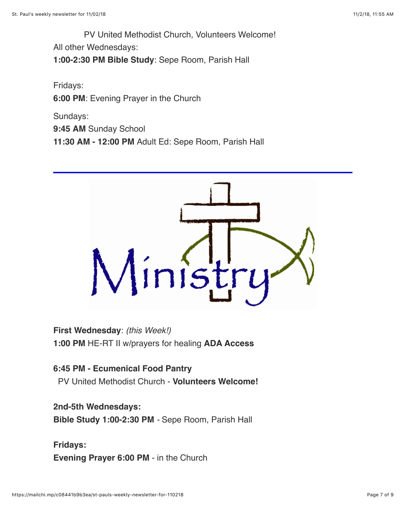PV United Methodist Church, Volunteers Welcome! All other Wednesdays: **1:00-2:30 PM Bible Study**: Sepe Room, Parish Hall

Fridays: **6:00 PM**: Evening Prayer in the Church

Sundays: **9:45 AM** Sunday School **11:30 AM - 12:00 PM** Adult Ed: Sepe Room, Parish Hall



**First Wednesday**: *(this Week!)* **1:00 PM** HE-RT II w/prayers for healing **ADA Access**

**6:45 PM - Ecumenical Food Pantry** PV United Methodist Church - **Volunteers Welcome!**

**2nd-5th Wednesdays: Bible Study 1:00-2:30 PM** *-* Sepe Room, Parish Hall

**Fridays: Evening Prayer 6:00 PM** - in the Church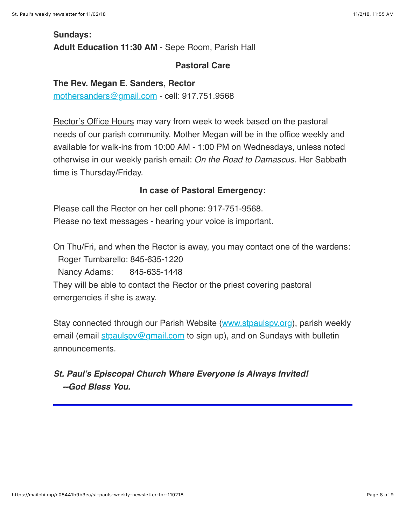## **Sundays: Adult Education 11:30 AM** - Sepe Room, Parish Hall

### **Pastoral Care**

#### **The Rev. Megan E. Sanders, Rector**

[mothersanders@gmail.com](mailto:mothersanders@gmail.com) - cell: 917.751.9568

Rector's Office Hours may vary from week to week based on the pastoral needs of our parish community. Mother Megan will be in the office weekly and available for walk-ins from 10:00 AM - 1:00 PM on Wednesdays, unless noted otherwise in our weekly parish email: *On the Road to Damascus*. Her Sabbath time is Thursday/Friday.

#### **In case of Pastoral Emergency:**

Please call the Rector on her cell phone: 917-751-9568. Please no text messages - hearing your voice is important.

On Thu/Fri, and when the Rector is away, you may contact one of the wardens: Roger Tumbarello: 845-635-1220 Nancy Adams: 845-635-1448 They will be able to contact the Rector or the priest covering pastoral

emergencies if she is away.

Stay connected through our Parish Website ([www.stpaulspv.org\)](http://www.stpaulspv.org/), parish weekly email (email stpaulspy@gmail.com to sign up), and on Sundays with bulletin announcements.

## *St. Paul's Episcopal Church Where Everyone is Always Invited! --God Bless You.*